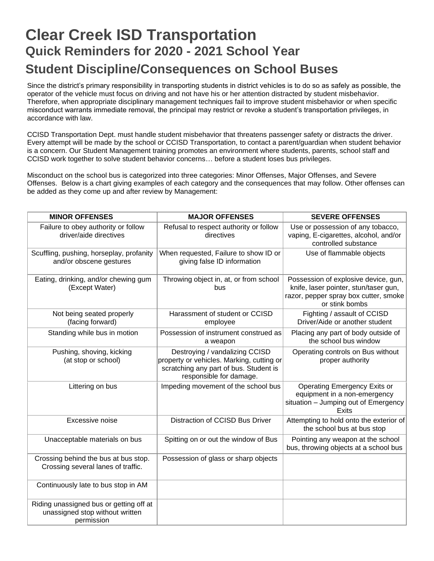## **[Clear Creek ISD](https://sites.google.com/a/lesd.k12.az.us/litchfield-transportation/) Transportation Quick Reminders for 2020 - 2021 School Year**

## **Student Discipline/Consequences on School Buses**

Since the district's primary responsibility in transporting students in district vehicles is to do so as safely as possible, the operator of the vehicle must focus on driving and not have his or her attention distracted by student misbehavior. Therefore, when appropriate disciplinary management techniques fail to improve student misbehavior or when specific misconduct warrants immediate removal, the principal may restrict or revoke a student's transportation privileges, in accordance with law.

CCISD Transportation Dept. must handle student misbehavior that threatens passenger safety or distracts the driver. Every attempt will be made by the school or CCISD Transportation, to contact a parent/guardian when student behavior is a concern. Our Student Management training promotes an environment where students, parents, school staff and CCISD work together to solve student behavior concerns… before a student loses bus privileges.

Misconduct on the school bus is categorized into three categories: Minor Offenses, Major Offenses, and Severe Offenses. Below is a chart giving examples of each category and the consequences that may follow. Other offenses can be added as they come up and after review by Management:

| <b>MINOR OFFENSES</b>                                                                    | <b>MAJOR OFFENSES</b>                                                                                                                            | <b>SEVERE OFFENSES</b>                                                                                                                   |
|------------------------------------------------------------------------------------------|--------------------------------------------------------------------------------------------------------------------------------------------------|------------------------------------------------------------------------------------------------------------------------------------------|
| Failure to obey authority or follow<br>driver/aide directives                            | Refusal to respect authority or follow<br>directives                                                                                             | Use or possession of any tobacco,<br>vaping, E-cigarettes, alcohol, and/or<br>controlled substance                                       |
| Scuffling, pushing, horseplay, profanity<br>and/or obscene gestures                      | When requested, Failure to show ID or<br>giving false ID information                                                                             | Use of flammable objects                                                                                                                 |
| Eating, drinking, and/or chewing gum<br>(Except Water)                                   | Throwing object in, at, or from school<br>bus                                                                                                    | Possession of explosive device, gun,<br>knife, laser pointer, stun/taser gun,<br>razor, pepper spray box cutter, smoke<br>or stink bombs |
| Not being seated properly<br>(facing forward)                                            | Harassment of student or CCISD<br>employee                                                                                                       | Fighting / assault of CCISD<br>Driver/Aide or another student                                                                            |
| Standing while bus in motion                                                             | Possession of instrument construed as<br>a weapon                                                                                                | Placing any part of body outside of<br>the school bus window                                                                             |
| Pushing, shoving, kicking<br>(at stop or school)                                         | Destroying / vandalizing CCISD<br>property or vehicles. Marking, cutting or<br>scratching any part of bus. Student is<br>responsible for damage. | Operating controls on Bus without<br>proper authority                                                                                    |
| Littering on bus                                                                         | Impeding movement of the school bus                                                                                                              | Operating Emergency Exits or<br>equipment in a non-emergency<br>situation - Jumping out of Emergency<br><b>Exits</b>                     |
| Excessive noise                                                                          | Distraction of CCISD Bus Driver                                                                                                                  | Attempting to hold onto the exterior of<br>the school bus at bus stop                                                                    |
| Unacceptable materials on bus                                                            | Spitting on or out the window of Bus                                                                                                             | Pointing any weapon at the school<br>bus, throwing objects at a school bus                                                               |
| Crossing behind the bus at bus stop.<br>Crossing several lanes of traffic.               | Possession of glass or sharp objects                                                                                                             |                                                                                                                                          |
| Continuously late to bus stop in AM                                                      |                                                                                                                                                  |                                                                                                                                          |
| Riding unassigned bus or getting off at<br>unassigned stop without written<br>permission |                                                                                                                                                  |                                                                                                                                          |